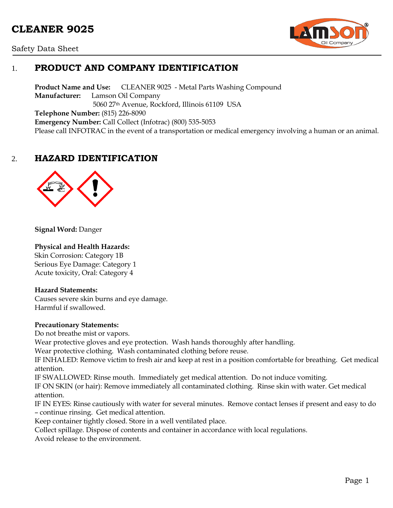# **CLEANER 9025**





## 1. **PRODUCT AND COMPANY IDENTIFICATION**

**Product Name and Use:** CLEANER 9025 - Metal Parts Washing Compound **Manufacturer:** Lamson Oil Company 5060 27th Avenue, Rockford, Illinois 61109 USA **Telephone Number:** (815) 226-8090 **Emergency Number:** Call Collect (Infotrac) (800) 535-5053 Please call INFOTRAC in the event of a transportation or medical emergency involving a human or an animal.

## 2. **HAZARD IDENTIFICATION**



**Signal Word:** Danger

#### **Physical and Health Hazards:**

Skin Corrosion: Category 1B Serious Eye Damage: Category 1 Acute toxicity, Oral: Category 4

#### **Hazard Statements:**

Causes severe skin burns and eye damage. Harmful if swallowed.

#### **Precautionary Statements:**

Do not breathe mist or vapors.

Wear protective gloves and eye protection. Wash hands thoroughly after handling.

Wear protective clothing. Wash contaminated clothing before reuse.

IF INHALED: Remove victim to fresh air and keep at rest in a position comfortable for breathing. Get medical attention.

IF SWALLOWED: Rinse mouth. Immediately get medical attention. Do not induce vomiting.

IF ON SKIN (or hair): Remove immediately all contaminated clothing. Rinse skin with water. Get medical attention.

IF IN EYES: Rinse cautiously with water for several minutes. Remove contact lenses if present and easy to do – continue rinsing. Get medical attention.

Keep container tightly closed. Store in a well ventilated place.

Collect spillage. Dispose of contents and container in accordance with local regulations.

Avoid release to the environment.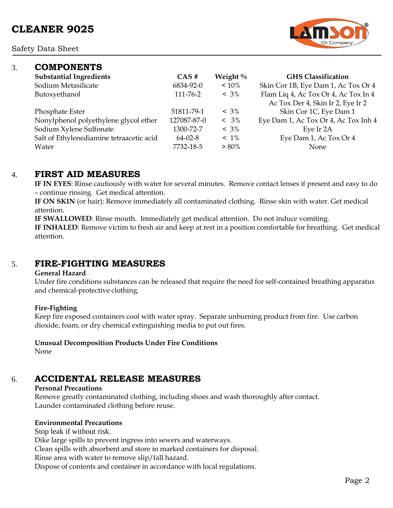Safety Data Sheet



| 3. | <b>COMPONENTS</b>                        |               |             |                                      |
|----|------------------------------------------|---------------|-------------|--------------------------------------|
|    | <b>Substantial Ingredients</b>           | $CAS \#$      | Weight $\%$ | <b>GHS Classification</b>            |
|    | Sodium Metasilicate                      | 6834-92-0     | $~10\%$     | Skin Cor 1B, Eye Dam 1, Ac Tox Or 4  |
|    | Butoxyethanol                            | 111-76-2      | $< 3\%$     | Flam Liq 4, Ac Tox Or 4, Ac Tox In 4 |
|    |                                          |               |             | Ac Tox Der 4, Skin Ir 2, Eye Ir 2    |
|    | Phosphate Ester                          | 51811-79-1    | $< 3\%$     | Skin Cor 1C, Eye Dam 1               |
|    | Nonylphenol polyethylene glycol ether    | 127087-87-0   | $< 3\%$     | Eye Dam 1, Ac Tox Or 4, Ac Tox Inh 4 |
|    | Sodium Xylene Sulfonate                  | 1300-72-7     | $< 3\%$     | Eye Ir 2A                            |
|    | Salt of Ethylenediamine tetraacetic acid | $64 - 02 - 8$ | $~1\%$      | Eye Dam 1, Ac Tox Or 4               |
|    | Water                                    | 7732-18-5     | $> 80\%$    | None                                 |
|    |                                          |               |             |                                      |

## 4. **FIRST AID MEASURES**

**IF IN EYES**: Rinse cautiously with water for several minutes. Remove contact lenses if present and easy to do – continue rinsing. Get medical attention.

**IF ON SKIN** (or hair): Remove immediately all contaminated clothing. Rinse skin with water. Get medical attention.

**IF SWALLOWED**: Rinse mouth. Immediately get medical attention. Do not induce vomiting.

**IF INHALED**: Remove victim to fresh air and keep at rest in a position comfortable for breathing. Get medical attention.

# 5. **FIRE-FIGHTING MEASURES**

#### **General Hazard**

Under fire conditions substances can be released that require the need for self-contained breathing apparatus and chemical-protective clothing.

#### **Fire-Fighting**

Keep fire exposed containers cool with water spray. Separate unburning product from fire. Use carbon dioxide, foam, or dry chemical extinguishing media to put out fires.

### **Unusual Decomposition Products Under Fire Conditions**

None

# 6. **ACCIDENTAL RELEASE MEASURES**

### **Personal Precautions**

Remove greatly contaminated clothing, including shoes and wash thoroughly after contact. Launder contaminated clothing before reuse.

### **Environmental Precautions**

Stop leak if without risk.

Dike large spills to prevent ingress into sewers and waterways.

Clean spills with absorbent and store in marked containers for disposal.

Rinse area with water to remove slip/fall hazard.

Dispose of contents and container in accordance with local regulations.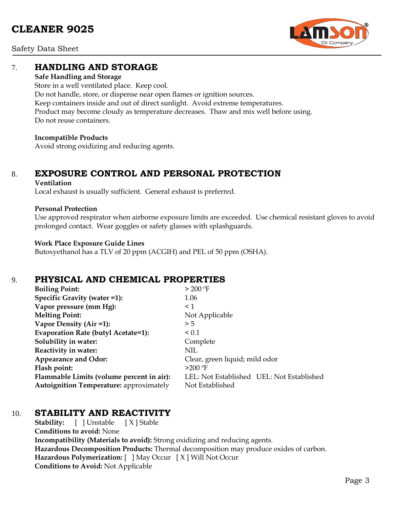# **CLEANER 9025**



Safety Data Sheet

## 7. **HANDLING AND STORAGE**

#### **Safe Handling and Storage**

Store in a well ventilated place. Keep cool. Do not handle, store, or dispense near open flames or ignition sources. Keep containers inside and out of direct sunlight. Avoid extreme temperatures. Product may become cloudy as temperature decreases. Thaw and mix well before using. Do not reuse containers.

#### **Incompatible Products**

Avoid strong oxidizing and reducing agents.

# 8. **EXPOSURE CONTROL AND PERSONAL PROTECTION**

#### **Ventilation**

Local exhaust is usually sufficient. General exhaust is preferred.

#### **Personal Protection**

Use approved respirator when airborne exposure limits are exceeded. Use chemical resistant gloves to avoid prolonged contact. Wear goggles or safety glasses with splashguards.

#### **Work Place Exposure Guide Lines**

Butoxyethanol has a TLV of 20 ppm (ACGIH) and PEL of 50 ppm (OSHA).

### 9. **PHYSICAL AND CHEMICAL PROPERTIES**

| <b>Boiling Point:</b>                          | $>$ 200 °F                                |
|------------------------------------------------|-------------------------------------------|
| Specific Gravity (water =1):                   | 1.06                                      |
| Vapor pressure (mm Hg):                        | $\leq$ 1                                  |
| <b>Melting Point:</b>                          | Not Applicable                            |
| Vapor Density (Air =1):                        | > 5                                       |
| Evaporation Rate (butyl Acetate=1):            | ${}_{0.1}$                                |
| Solubility in water:                           | Complete                                  |
| Reactivity in water:                           | NIL                                       |
| <b>Appearance and Odor:</b>                    | Clear, green liquid; mild odor            |
| Flash point:                                   | $>200$ °F                                 |
| Flammable Limits (volume percent in air):      | LEL: Not Established UEL: Not Established |
| <b>Autoignition Temperature: approximately</b> | Not Established                           |

# 10. **STABILITY AND REACTIVITY**

**Stability:** [ ] Unstable [ X ] Stable **Conditions to avoid:** None **Incompatibility (Materials to avoid):** Strong oxidizing and reducing agents. **Hazardous Decomposition Products:** Thermal decomposition may produce oxides of carbon. **Hazardous Polymerization:** [ ] May Occur [ X ] Will Not Occur **Conditions to Avoid:** Not Applicable